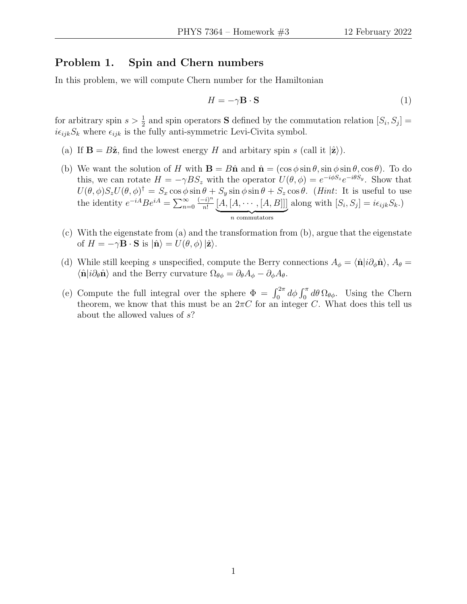### Problem 1. Spin and Chern numbers

In this problem, we will compute Chern number for the Hamiltonian

$$
H = -\gamma \mathbf{B} \cdot \mathbf{S} \tag{1}
$$

for arbitrary spin  $s > \frac{1}{2}$  and spin operators **S** defined by the commutation relation  $[S_i, S_j]$  =  $i\epsilon_{ijk}S_k$  where  $\epsilon_{ijk}$  is the fully anti-symmetric Levi-Civita symbol.

- (a) If  $\mathbf{B} = B\hat{\mathbf{z}}$ , find the lowest energy H and arbitary spin s (call it  $|\hat{\mathbf{z}}|$ ).
- (b) We want the solution of H with  $\mathbf{B} = B\hat{\mathbf{n}}$  and  $\hat{\mathbf{n}} = (\cos \phi \sin \theta, \sin \phi \sin \theta, \cos \theta)$ . To do this, we can rotate  $H = -\gamma BS_z$  with the operator  $U(\theta, \phi) = e^{-i\phi S_z} e^{-i\theta S_y}$ . Show that  $U(\theta, \phi)S_zU(\theta, \phi)^{\dagger} = S_x \cos \phi \sin \theta + S_y \sin \phi \sin \theta + S_z \cos \theta$ . (*Hint*: It is useful to use the identity  $e^{-iA}Be^{iA} = \sum_{n=0}^{\infty}$  $(-i)^n$  $\frac{(-i)^n}{n!} [A,[A,\cdots,[A,B]]]$  $\overbrace{n \text{ commutators}}$ along with  $[S_i, S_j] = i\epsilon_{ijk}S_k$ .
- (c) With the eigenstate from (a) and the transformation from (b), argue that the eigenstate of  $H = -\gamma \mathbf{B} \cdot \mathbf{S}$  is  $|\hat{\mathbf{n}}\rangle = U(\theta, \phi) |\hat{\mathbf{z}}\rangle$ .
- (d) While still keeping s unspecified, compute the Berry connections  $A_{\phi} = \langle \hat{\mathbf{n}} | i \partial_{\phi} \hat{\mathbf{n}} \rangle$ ,  $A_{\theta} =$  $\langle \hat{\mathbf{n}} | i \partial_{\theta} \hat{\mathbf{n}} \rangle$  and the Berry curvature  $\Omega_{\theta \phi} = \partial_{\theta} A_{\phi} - \partial_{\phi} A_{\theta}$ .
- (e) Compute the full integral over the sphere  $\Phi = \int_0^{2\pi} d\phi \int_0^{\pi} d\theta \Omega_{\theta\phi}$ . Using the Chern theorem, we know that this must be an  $2\pi C$  for an integer C. What does this tell us about the allowed values of s?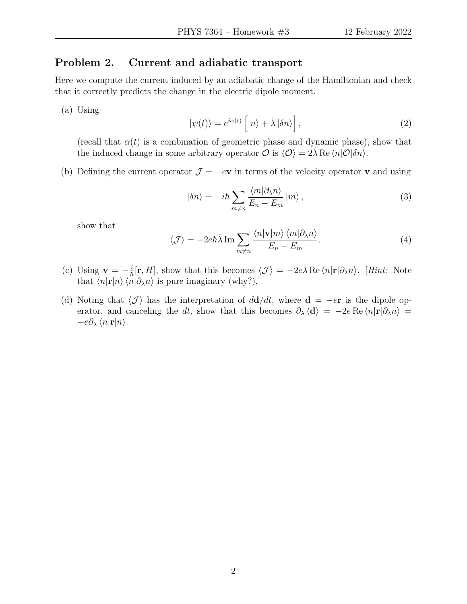## Problem 2. Current and adiabatic transport

Here we compute the current induced by an adiabatic change of the Hamiltonian and check that it correctly predicts the change in the electric dipole moment.

(a) Using

$$
|\psi(t)\rangle = e^{i\alpha(t)} \left[|n\rangle + \dot{\lambda}|\delta n\rangle\right],\tag{2}
$$

(recall that  $\alpha(t)$  is a combination of geometric phase and dynamic phase), show that the induced change in some arbitrary operator  $\mathcal O$  is  $\langle \mathcal O \rangle = 2\lambda \operatorname{Re} \langle n|\mathcal O|\delta n\rangle$ .

(b) Defining the current operator  $\mathcal{J} = -e\mathbf{v}$  in terms of the velocity operator **v** and using

$$
|\delta n\rangle = -i\hbar \sum_{m \neq n} \frac{\langle m | \partial_{\lambda} n \rangle}{E_n - E_m} |m\rangle , \qquad (3)
$$

show that

$$
\langle \mathcal{J} \rangle = -2e\hbar \lambda \operatorname{Im} \sum_{m \neq n} \frac{\langle n | \mathbf{v} | m \rangle \langle m | \partial_{\lambda} n \rangle}{E_n - E_m}.
$$
 (4)

- (c) Using  $\mathbf{v} = -\frac{i}{\hbar}$  $\frac{i}{\hbar}[\mathbf{r},H]$ , show that this becomes  $\langle \mathcal{J} \rangle = -2e\dot{\lambda} \text{Re} \langle n|\mathbf{r}| \partial_{\lambda} n \rangle$ . [Hint: Note that  $\langle n|\mathbf{r}|n\rangle \langle n|\partial_{\lambda}n\rangle$  is pure imaginary (why?).]
- (d) Noting that  $\langle \mathcal{J} \rangle$  has the interpretation of  $d\mathbf{d}/dt$ , where  $\mathbf{d} = -e\mathbf{r}$  is the dipole operator, and canceling the dt, show that this becomes  $\partial_{\lambda} \langle \mathbf{d} \rangle = -2e \operatorname{Re} \langle n|\mathbf{r}| \partial_{\lambda} n \rangle =$  $-e\partial_{\lambda} \langle n|\mathbf{r}|n\rangle$ .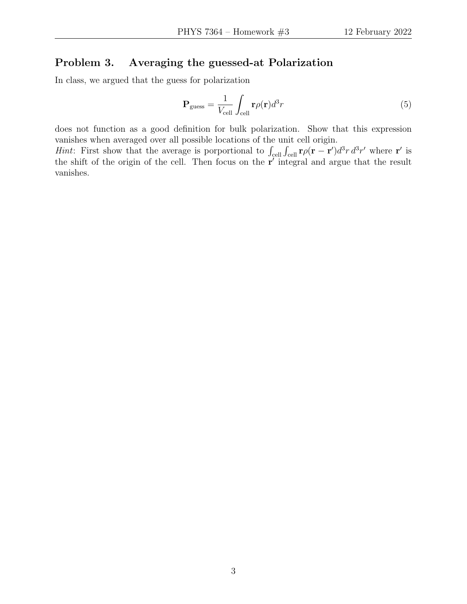#### Problem 3. Averaging the guessed-at Polarization

In class, we argued that the guess for polarization

$$
\mathbf{P}_{\text{guess}} = \frac{1}{V_{\text{cell}}} \int_{\text{cell}} \mathbf{r} \rho(\mathbf{r}) d^3 r \tag{5}
$$

does not function as a good definition for bulk polarization. Show that this expression vanishes when averaged over all possible locations of the unit cell origin.

*Hint*: First show that the average is porportional to  $\int_{cell} \int_{cell} \mathbf{r} \rho(\mathbf{r} - \mathbf{r}') d^3 r d^3 r'$  where r' is the shift of the origin of the cell. Then focus on the  $r'$  integral and argue that the result vanishes.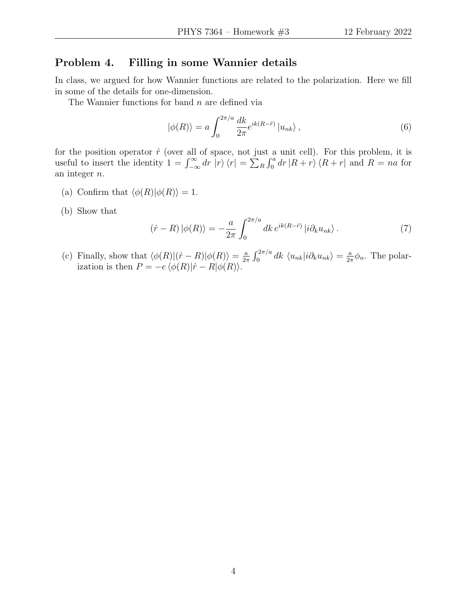#### Problem 4. Filling in some Wannier details

In class, we argued for how Wannier functions are related to the polarization. Here we fill in some of the details for one-dimension.

The Wannier functions for band  $n$  are defined via

$$
|\phi(R)\rangle = a \int_0^{2\pi/a} \frac{dk}{2\pi} e^{ik(R-\hat{r})} |u_{nk}\rangle , \qquad (6)
$$

for the position operator  $\hat{r}$  (over all of space, not just a unit cell). For this problem, it is useful to insert the identity  $1 = \int_{-\infty}^{\infty} dr \, |r\rangle \, \langle r| = \sum_{R} \int_{0}^{a} dr \, |R+r\rangle \, \langle R+r|$  and  $R = na$  for an integer n.

- (a) Confirm that  $\langle \phi(R)|\phi(R)\rangle = 1$ .
- (b) Show that

$$
(\hat{r} - R) |\phi(R)\rangle = -\frac{a}{2\pi} \int_0^{2\pi/a} dk \, e^{ik(R-\hat{r})} |i\partial_k u_{nk}\rangle \,. \tag{7}
$$

(c) Finally, show that  $\langle \phi(R) | (\hat{r} - R) | \phi(R) \rangle = \frac{a}{2a}$  $\frac{a}{2\pi} \int_0^{2\pi/a} dk \langle u_{nk}|i\partial_k u_{nk}\rangle = \frac{a}{2\pi}$  $\frac{a}{2\pi}\phi_n$ . The polarization is then  $P = -e \langle \phi(R)|\hat{r} - R|\phi(R)\rangle$ .